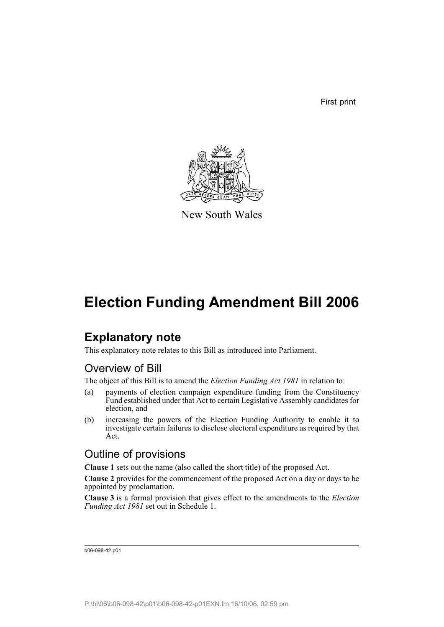First print



New South Wales

## **Election Funding Amendment Bill 2006**

## **Explanatory note**

This explanatory note relates to this Bill as introduced into Parliament.

### Overview of Bill

The object of this Bill is to amend the *Election Funding Act 1981* in relation to:

- (a) payments of election campaign expenditure funding from the Constituency Fund established under that Act to certain Legislative Assembly candidates for election, and
- (b) increasing the powers of the Election Funding Authority to enable it to investigate certain failures to disclose electoral expenditure as required by that Act.

### Outline of provisions

**Clause 1** sets out the name (also called the short title) of the proposed Act.

**Clause 2** provides for the commencement of the proposed Act on a day or days to be appointed by proclamation.

**Clause 3** is a formal provision that gives effect to the amendments to the *Election Funding Act 1981* set out in Schedule 1.

b06-098-42.p01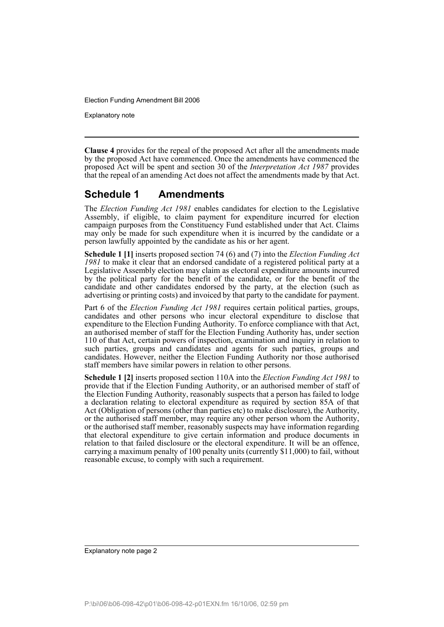Explanatory note

**Clause 4** provides for the repeal of the proposed Act after all the amendments made by the proposed Act have commenced. Once the amendments have commenced the proposed Act will be spent and section 30 of the *Interpretation Act 1987* provides that the repeal of an amending Act does not affect the amendments made by that Act.

#### **Schedule 1 Amendments**

The *Election Funding Act 1981* enables candidates for election to the Legislative Assembly, if eligible, to claim payment for expenditure incurred for election campaign purposes from the Constituency Fund established under that Act. Claims may only be made for such expenditure when it is incurred by the candidate or a person lawfully appointed by the candidate as his or her agent.

**Schedule 1 [1]** inserts proposed section 74 (6) and (7) into the *Election Funding Act 1981* to make it clear that an endorsed candidate of a registered political party at a Legislative Assembly election may claim as electoral expenditure amounts incurred by the political party for the benefit of the candidate, or for the benefit of the candidate and other candidates endorsed by the party, at the election (such as advertising or printing costs) and invoiced by that party to the candidate for payment.

Part 6 of the *Election Funding Act 1981* requires certain political parties, groups, candidates and other persons who incur electoral expenditure to disclose that expenditure to the Election Funding Authority. To enforce compliance with that Act, an authorised member of staff for the Election Funding Authority has, under section 110 of that Act, certain powers of inspection, examination and inquiry in relation to such parties, groups and candidates and agents for such parties, groups and candidates. However, neither the Election Funding Authority nor those authorised staff members have similar powers in relation to other persons.

**Schedule 1 [2]** inserts proposed section 110A into the *Election Funding Act 1981* to provide that if the Election Funding Authority, or an authorised member of staff of the Election Funding Authority, reasonably suspects that a person has failed to lodge a declaration relating to electoral expenditure as required by section 85A of that Act (Obligation of persons (other than parties etc) to make disclosure), the Authority, or the authorised staff member, may require any other person whom the Authority, or the authorised staff member, reasonably suspects may have information regarding that electoral expenditure to give certain information and produce documents in relation to that failed disclosure or the electoral expenditure. It will be an offence, carrying a maximum penalty of 100 penalty units (currently \$11,000) to fail, without reasonable excuse, to comply with such a requirement.

Explanatory note page 2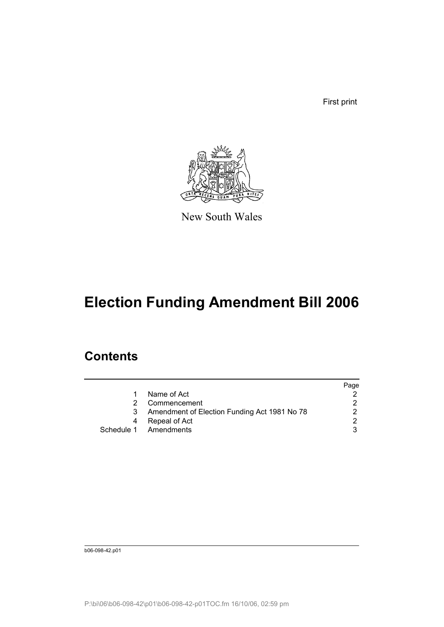First print



New South Wales

# **Election Funding Amendment Bill 2006**

## **Contents**

|   |                                              | Page                 |
|---|----------------------------------------------|----------------------|
| 1 | Name of Act                                  |                      |
|   | Commencement                                 | 2.                   |
|   | Amendment of Election Funding Act 1981 No 78 | $\mathcal{P} \equiv$ |
|   | Repeal of Act                                | $\mathcal{D}$        |
|   | Schedule 1 Amendments                        | 3                    |

b06-098-42.p01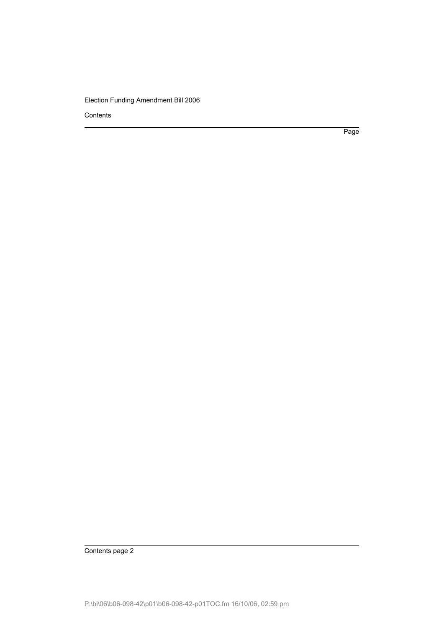Contents

Page

Contents page 2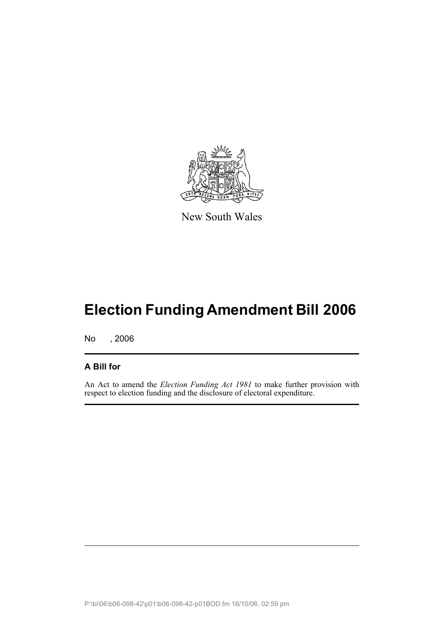

New South Wales

# **Election Funding Amendment Bill 2006**

No , 2006

#### **A Bill for**

An Act to amend the *Election Funding Act 1981* to make further provision with respect to election funding and the disclosure of electoral expenditure.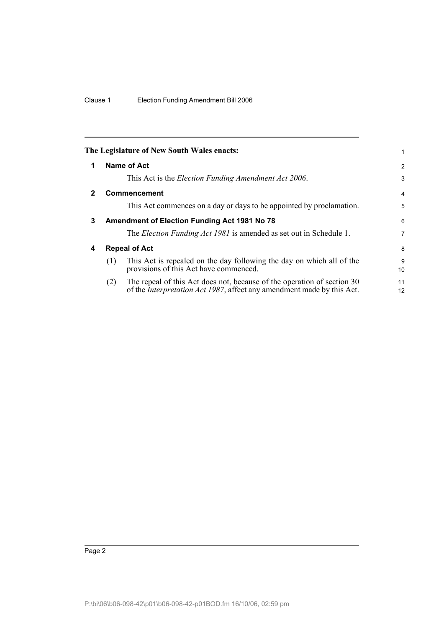<span id="page-5-3"></span><span id="page-5-2"></span><span id="page-5-1"></span><span id="page-5-0"></span>

|              |                      | The Legislature of New South Wales enacts:                                                                                                                | 1                    |
|--------------|----------------------|-----------------------------------------------------------------------------------------------------------------------------------------------------------|----------------------|
| 1            |                      | Name of Act                                                                                                                                               | 2                    |
|              |                      | This Act is the <i>Election Funding Amendment Act 2006</i> .                                                                                              | 3                    |
| $\mathbf{2}$ |                      | <b>Commencement</b>                                                                                                                                       | 4                    |
|              |                      | This Act commences on a day or days to be appointed by proclamation.                                                                                      | 5                    |
| 3            |                      | <b>Amendment of Election Funding Act 1981 No 78</b>                                                                                                       | 6                    |
|              |                      | The <i>Election Funding Act 1981</i> is amended as set out in Schedule 1.                                                                                 | 7                    |
| 4            | <b>Repeal of Act</b> |                                                                                                                                                           | 8                    |
|              | (1)                  | This Act is repealed on the day following the day on which all of the<br>provisions of this Act have commenced.                                           | 9<br>10 <sup>1</sup> |
|              | (2)                  | The repeal of this Act does not, because of the operation of section 30<br>of the <i>Interpretation Act 1987</i> , affect any amendment made by this Act. | 11<br>12             |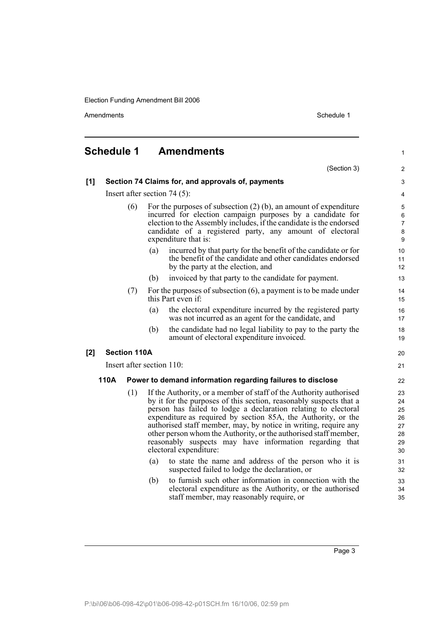Amendments Schedule 1

<span id="page-6-0"></span>

| <b>Schedule 1</b>                                                  |                                                   |                                |                           | <b>Amendments</b>                                                                                                                                                                                                                                                                                                                                                                                                                                                                                       | $\mathbf{1}$                                 |  |  |
|--------------------------------------------------------------------|---------------------------------------------------|--------------------------------|---------------------------|---------------------------------------------------------------------------------------------------------------------------------------------------------------------------------------------------------------------------------------------------------------------------------------------------------------------------------------------------------------------------------------------------------------------------------------------------------------------------------------------------------|----------------------------------------------|--|--|
|                                                                    |                                                   |                                |                           | (Section 3)                                                                                                                                                                                                                                                                                                                                                                                                                                                                                             | 2                                            |  |  |
| [1]                                                                | Section 74 Claims for, and approvals of, payments |                                |                           |                                                                                                                                                                                                                                                                                                                                                                                                                                                                                                         |                                              |  |  |
|                                                                    |                                                   | Insert after section $74(5)$ : |                           |                                                                                                                                                                                                                                                                                                                                                                                                                                                                                                         |                                              |  |  |
|                                                                    |                                                   | (6)                            |                           | For the purposes of subsection $(2)$ (b), an amount of expenditure<br>incurred for election campaign purposes by a candidate for<br>election to the Assembly includes, if the candidate is the endorsed<br>candidate of a registered party, any amount of electoral<br>expenditure that is:                                                                                                                                                                                                             |                                              |  |  |
|                                                                    |                                                   |                                | (a)                       | incurred by that party for the benefit of the candidate or for<br>the benefit of the candidate and other candidates endorsed<br>by the party at the election, and                                                                                                                                                                                                                                                                                                                                       | 10<br>11<br>12                               |  |  |
|                                                                    |                                                   |                                | (b)                       | invoiced by that party to the candidate for payment.                                                                                                                                                                                                                                                                                                                                                                                                                                                    | 13                                           |  |  |
|                                                                    |                                                   | (7)                            |                           | For the purposes of subsection $(6)$ , a payment is to be made under<br>this Part even if:                                                                                                                                                                                                                                                                                                                                                                                                              | 14<br>15                                     |  |  |
|                                                                    |                                                   |                                | (a)                       | the electoral expenditure incurred by the registered party<br>was not incurred as an agent for the candidate, and                                                                                                                                                                                                                                                                                                                                                                                       | 16<br>17                                     |  |  |
|                                                                    |                                                   |                                | (b)                       | the candidate had no legal liability to pay to the party the<br>amount of electoral expenditure invoiced.                                                                                                                                                                                                                                                                                                                                                                                               | 18<br>19                                     |  |  |
| $[2]$                                                              |                                                   | <b>Section 110A</b>            |                           |                                                                                                                                                                                                                                                                                                                                                                                                                                                                                                         | 20                                           |  |  |
|                                                                    |                                                   |                                | Insert after section 110: |                                                                                                                                                                                                                                                                                                                                                                                                                                                                                                         | 21                                           |  |  |
| 110A<br>Power to demand information regarding failures to disclose |                                                   |                                |                           | 22                                                                                                                                                                                                                                                                                                                                                                                                                                                                                                      |                                              |  |  |
|                                                                    |                                                   | (1)                            |                           | If the Authority, or a member of staff of the Authority authorised<br>by it for the purposes of this section, reasonably suspects that a<br>person has failed to lodge a declaration relating to electoral<br>expenditure as required by section 85A, the Authority, or the<br>authorised staff member, may, by notice in writing, require any<br>other person whom the Authority, or the authorised staff member,<br>reasonably suspects may have information regarding that<br>electoral expenditure: | 23<br>24<br>25<br>26<br>27<br>28<br>29<br>30 |  |  |
|                                                                    |                                                   |                                | (a)                       | to state the name and address of the person who it is<br>suspected failed to lodge the declaration, or                                                                                                                                                                                                                                                                                                                                                                                                  | 31<br>32                                     |  |  |
|                                                                    |                                                   |                                | (b)                       | to furnish such other information in connection with the<br>electoral expenditure as the Authority, or the authorised<br>staff member, may reasonably require, or                                                                                                                                                                                                                                                                                                                                       | 33<br>34<br>35                               |  |  |

Page 3